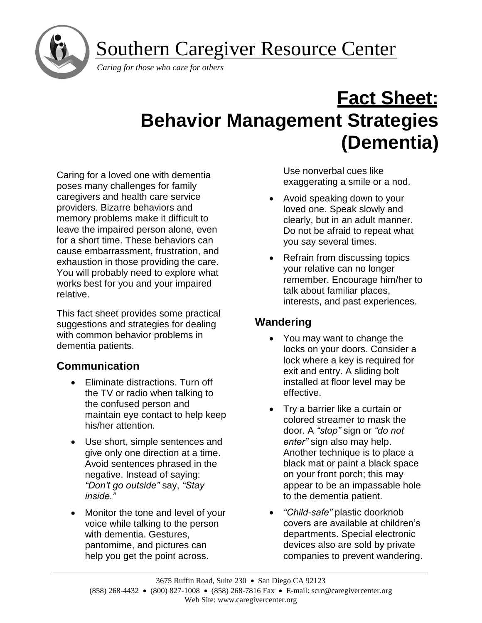Southern Caregiver Resource Center



*Caring for those who care for others*

# **Fact Sheet: Behavior Management Strategies (Dementia)**

Caring for a loved one with dementia poses many challenges for family caregivers and health care service providers. Bizarre behaviors and memory problems make it difficult to leave the impaired person alone, even for a short time. These behaviors can cause embarrassment, frustration, and exhaustion in those providing the care. You will probably need to explore what works best for you and your impaired relative.

This fact sheet provides some practical suggestions and strategies for dealing with common behavior problems in dementia patients.

# **Communication**

- Eliminate distractions. Turn off the TV or radio when talking to the confused person and maintain eye contact to help keep his/her attention.
- Use short, simple sentences and give only one direction at a time. Avoid sentences phrased in the negative. Instead of saying: *"Don't go outside"* say, *"Stay inside."*
- Monitor the tone and level of your voice while talking to the person with dementia. Gestures, pantomime, and pictures can help you get the point across.

Use nonverbal cues like exaggerating a smile or a nod.

- Avoid speaking down to your loved one. Speak slowly and clearly, but in an adult manner. Do not be afraid to repeat what you say several times.
- Refrain from discussing topics your relative can no longer remember. Encourage him/her to talk about familiar places, interests, and past experiences.

# **Wandering**

- You may want to change the locks on your doors. Consider a lock where a key is required for exit and entry. A sliding bolt installed at floor level may be effective.
- Try a barrier like a curtain or colored streamer to mask the door. A *"stop"* sign or *"do not enter"* sign also may help. Another technique is to place a black mat or paint a black space on your front porch; this may appear to be an impassable hole to the dementia patient.
- *"Child-safe"* plastic doorknob covers are available at children's departments. Special electronic devices also are sold by private companies to prevent wandering.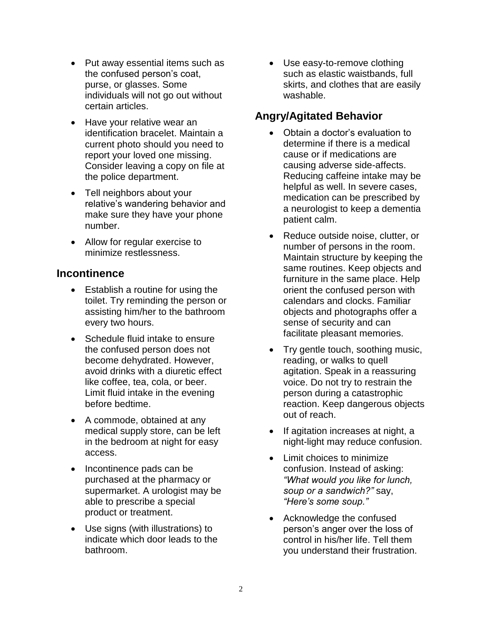- Put away essential items such as the confused person's coat, purse, or glasses. Some individuals will not go out without certain articles.
- Have your relative wear an identification bracelet. Maintain a current photo should you need to report your loved one missing. Consider leaving a copy on file at the police department.
- Tell neighbors about your relative's wandering behavior and make sure they have your phone number.
- Allow for regular exercise to minimize restlessness.

### **Incontinence**

- Establish a routine for using the toilet. Try reminding the person or assisting him/her to the bathroom every two hours.
- Schedule fluid intake to ensure the confused person does not become dehydrated. However, avoid drinks with a diuretic effect like coffee, tea, cola, or beer. Limit fluid intake in the evening before bedtime.
- A commode, obtained at any medical supply store, can be left in the bedroom at night for easy access.
- Incontinence pads can be purchased at the pharmacy or supermarket. A urologist may be able to prescribe a special product or treatment.
- Use signs (with illustrations) to indicate which door leads to the bathroom.

• Use easy-to-remove clothing such as elastic waistbands, full skirts, and clothes that are easily washable.

## **Angry/Agitated Behavior**

- Obtain a doctor's evaluation to determine if there is a medical cause or if medications are causing adverse side-affects. Reducing caffeine intake may be helpful as well. In severe cases, medication can be prescribed by a neurologist to keep a dementia patient calm.
- Reduce outside noise, clutter, or number of persons in the room. Maintain structure by keeping the same routines. Keep objects and furniture in the same place. Help orient the confused person with calendars and clocks. Familiar objects and photographs offer a sense of security and can facilitate pleasant memories.
- Try gentle touch, soothing music, reading, or walks to quell agitation. Speak in a reassuring voice. Do not try to restrain the person during a catastrophic reaction. Keep dangerous objects out of reach.
- If agitation increases at night, a night-light may reduce confusion.
- Limit choices to minimize confusion. Instead of asking: *"What would you like for lunch, soup or a sandwich?"* say, *"Here's some soup."*
- Acknowledge the confused person's anger over the loss of control in his/her life. Tell them you understand their frustration.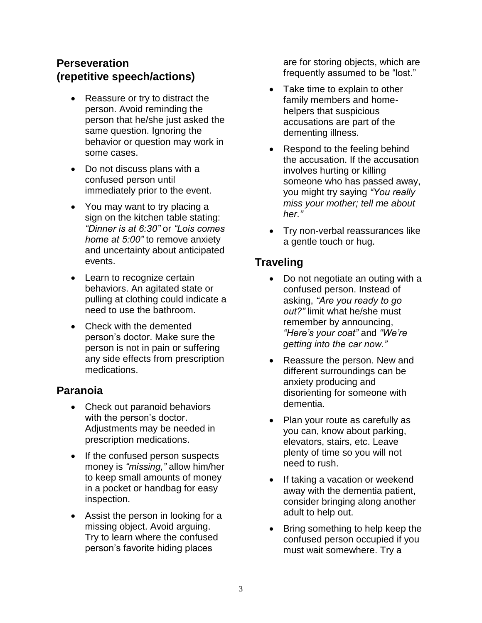## **Perseveration (repetitive speech/actions)**

- Reassure or try to distract the person. Avoid reminding the person that he/she just asked the same question. Ignoring the behavior or question may work in some cases.
- Do not discuss plans with a confused person until immediately prior to the event.
- You may want to try placing a sign on the kitchen table stating: *"Dinner is at 6:30"* or *"Lois comes home at 5:00"* to remove anxiety and uncertainty about anticipated events.
- Learn to recognize certain behaviors. An agitated state or pulling at clothing could indicate a need to use the bathroom.
- Check with the demented person's doctor. Make sure the person is not in pain or suffering any side effects from prescription medications.

## **Paranoia**

- Check out paranoid behaviors with the person's doctor. Adjustments may be needed in prescription medications.
- If the confused person suspects money is *"missing,"* allow him/her to keep small amounts of money in a pocket or handbag for easy inspection.
- Assist the person in looking for a missing object. Avoid arguing. Try to learn where the confused person's favorite hiding places

are for storing objects, which are frequently assumed to be "lost."

- Take time to explain to other family members and homehelpers that suspicious accusations are part of the dementing illness.
- Respond to the feeling behind the accusation. If the accusation involves hurting or killing someone who has passed away, you might try saying *"You really miss your mother; tell me about her."*
- Try non-verbal reassurances like a gentle touch or hug.

# **Traveling**

- Do not negotiate an outing with a confused person. Instead of asking, *"Are you ready to go out?"* limit what he/she must remember by announcing, *"Here's your coat"* and *"We're getting into the car now."*
- Reassure the person. New and different surroundings can be anxiety producing and disorienting for someone with dementia.
- Plan your route as carefully as you can, know about parking, elevators, stairs, etc. Leave plenty of time so you will not need to rush.
- If taking a vacation or weekend away with the dementia patient, consider bringing along another adult to help out.
- Bring something to help keep the confused person occupied if you must wait somewhere. Try a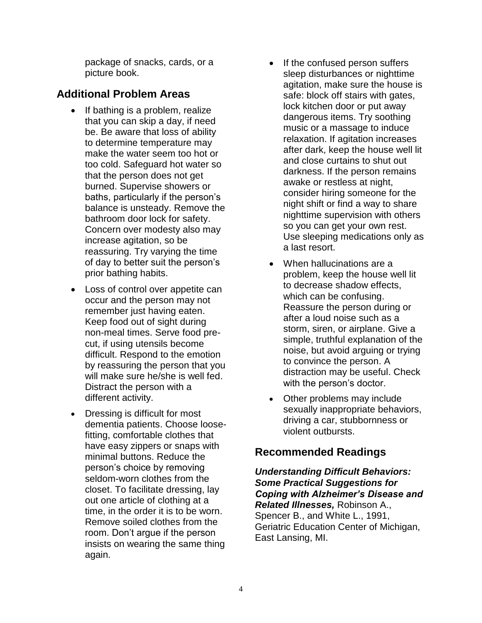package of snacks, cards, or a picture book.

## **Additional Problem Areas**

- If bathing is a problem, realize that you can skip a day, if need be. Be aware that loss of ability to determine temperature may make the water seem too hot or too cold. Safeguard hot water so that the person does not get burned. Supervise showers or baths, particularly if the person's balance is unsteady. Remove the bathroom door lock for safety. Concern over modesty also may increase agitation, so be reassuring. Try varying the time of day to better suit the person's prior bathing habits.
- Loss of control over appetite can occur and the person may not remember just having eaten. Keep food out of sight during non-meal times. Serve food precut, if using utensils become difficult. Respond to the emotion by reassuring the person that you will make sure he/she is well fed. Distract the person with a different activity.
- Dressing is difficult for most dementia patients. Choose loosefitting, comfortable clothes that have easy zippers or snaps with minimal buttons. Reduce the person's choice by removing seldom-worn clothes from the closet. To facilitate dressing, lay out one article of clothing at a time, in the order it is to be worn. Remove soiled clothes from the room. Don't argue if the person insists on wearing the same thing again.
- If the confused person suffers sleep disturbances or nighttime agitation, make sure the house is safe: block off stairs with gates, lock kitchen door or put away dangerous items. Try soothing music or a massage to induce relaxation. If agitation increases after dark, keep the house well lit and close curtains to shut out darkness. If the person remains awake or restless at night. consider hiring someone for the night shift or find a way to share nighttime supervision with others so you can get your own rest. Use sleeping medications only as a last resort.
- When hallucinations are a problem, keep the house well lit to decrease shadow effects, which can be confusing. Reassure the person during or after a loud noise such as a storm, siren, or airplane. Give a simple, truthful explanation of the noise, but avoid arguing or trying to convince the person. A distraction may be useful. Check with the person's doctor.
- Other problems may include sexually inappropriate behaviors, driving a car, stubbornness or violent outbursts.

## **Recommended Readings**

*Understanding Difficult Behaviors: Some Practical Suggestions for Coping with Alzheimer's Disease and Related Illnesses,* Robinson A., Spencer B., and White L., 1991, Geriatric Education Center of Michigan, East Lansing, MI.